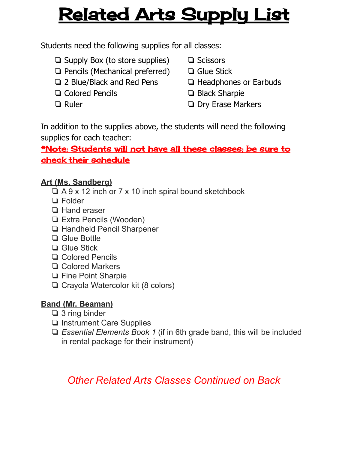# Related Arts Supply List

Students need the following supplies for all classes:

- ❏ Supply Box (to store supplies)
- ❏ Pencils (Mechanical preferred)
- ❏ 2 Blue/Black and Red Pens
- ❏ Colored Pencils
- ❏ Ruler
- ❏ Scissors
- ❏ Glue Stick
- ❏ Headphones or Earbuds
- ❏ Black Sharpie
- ❏ Dry Erase Markers

In addition to the supplies above, the students will need the following supplies for each teacher:

### \*Note: Students will not have all these classes; be sure to check their schedule

### **Art (Ms. Sandberg)**

- ❏ A 9 x 12 inch or 7 x 10 inch spiral bound sketchbook
- ❏ Folder
- ❏ Hand eraser
- ❏ Extra Pencils (Wooden)
- ❏ Handheld Pencil Sharpener
- ❏ Glue Bottle
- ❏ Glue Stick
- ❏ Colored Pencils
- ❏ Colored Markers
- ❏ Fine Point Sharpie
- ❏ Crayola Watercolor kit (8 colors)

## **Band (Mr. Beaman)**

- ❏ 3 ring binder
- ❏ Instrument Care Supplies
- ❏ *Essential Elements Book 1* (if in 6th grade band, this will be included in rental package for their instrument)

# *Other Related Arts Classes Continued on Back*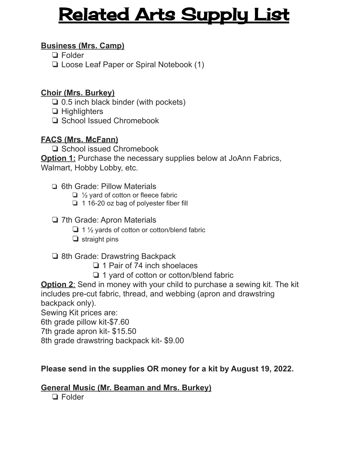# Related Arts Supply List

#### **Business (Mrs. Camp)**

- ❏ Folder
- ❏ Loose Leaf Paper or Spiral Notebook (1)

#### **Choir (Mrs. Burkey)**

- ❏ 0.5 inch black binder (with pockets)
- ❏ Highlighters
- ❏ School Issued Chromebook

#### **FACS (Mrs. McFann)**

❏ School issued Chromebook

**Option 1:** Purchase the necessary supplies below at JoAnn Fabrics, Walmart, Hobby Lobby, etc.

- ❏ 6th Grade: Pillow Materials
	- ❏ ½ yard of cotton or fleece fabric
	- ❏ 1 16-20 oz bag of polyester fiber fill
- ❏ 7th Grade: Apron Materials
	- ❏ 1 ½ yards of cotton or cotton/blend fabric
	- ❏ straight pins

#### ❏ 8th Grade: Drawstring Backpack

- ❏ 1 Pair of 74 inch shoelaces
- ❏ 1 yard of cotton or cotton/blend fabric

**Option 2:** Send in money with your child to purchase a sewing kit. The kit includes pre-cut fabric, thread, and webbing (apron and drawstring backpack only).

Sewing Kit prices are:

6th grade pillow kit-\$7.60

7th grade apron kit- \$15.50

8th grade drawstring backpack kit- \$9.00

#### **Please send in the supplies OR money for a kit by August 19, 2022.**

#### **General Music (Mr. Beaman and Mrs. Burkey)**

❏ Folder